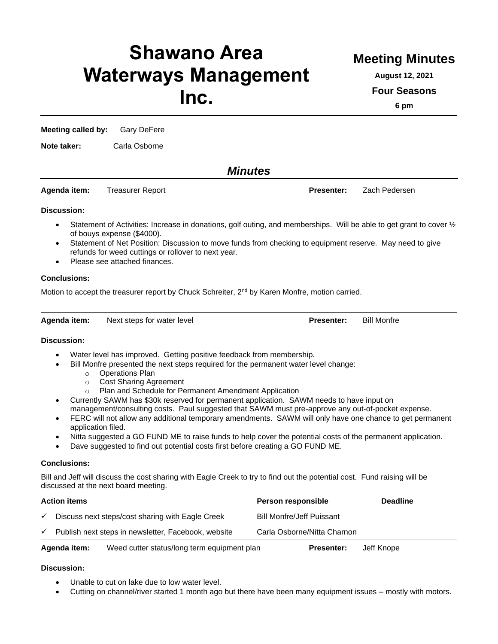# **Shawano Area Waterways Management Inc.**

# **Meeting Minutes**

**August 12, 2021**

**Four Seasons**

**6 pm**

**Meeting called by:** Gary DeFere

**Note taker:** Carla Osborne

*Minutes*

**Agenda item:** Treasurer Report **Presenter:** Zach Pedersen

## **Discussion:**

- Statement of Activities: Increase in donations, golf outing, and memberships. Will be able to get grant to cover  $\frac{1}{2}$ of bouys expense (\$4000).
- Statement of Net Position: Discussion to move funds from checking to equipment reserve. May need to give refunds for weed cuttings or rollover to next year.
- Please see attached finances.

# **Conclusions:**

Motion to accept the treasurer report by Chuck Schreiter,  $2^{nd}$  by Karen Monfre, motion carried.

**Agenda item:** Next steps for water level **Presenter:** Bill Monfre

# **Discussion:**

- Water level has improved. Getting positive feedback from membership.
- Bill Monfre presented the next steps required for the permanent water level change:
	- o Operations Plan
	- o Cost Sharing Agreement
	- o Plan and Schedule for Permanent Amendment Application
- Currently SAWM has \$30k reserved for permanent application. SAWM needs to have input on management/consulting costs. Paul suggested that SAWM must pre-approve any out-of-pocket expense.
- FERC will not allow any additional temporary amendments. SAWM will only have one chance to get permanent application filed.
- Nitta suggested a GO FUND ME to raise funds to help cover the potential costs of the permanent application.
- Dave suggested to find out potential costs first before creating a GO FUND ME.

## **Conclusions:**

Bill and Jeff will discuss the cost sharing with Eagle Creek to try to find out the potential cost. Fund raising will be discussed at the next board meeting.

| <b>Action items</b> |                                                             |  | Person responsible               | <b>Deadline</b> |
|---------------------|-------------------------------------------------------------|--|----------------------------------|-----------------|
| $\checkmark$        | Discuss next steps/cost sharing with Eagle Creek            |  | <b>Bill Monfre/Jeff Puissant</b> |                 |
| $\checkmark$        | Publish next steps in newsletter, Facebook, website         |  | Carla Osborne/Nitta Charnon      |                 |
|                     | Weed cutter status/long term equipment plan<br>Agenda item: |  | <b>Presenter:</b>                | Jeff Knope      |

## **Discussion:**

- Unable to cut on lake due to low water level.
- Cutting on channel/river started 1 month ago but there have been many equipment issues mostly with motors.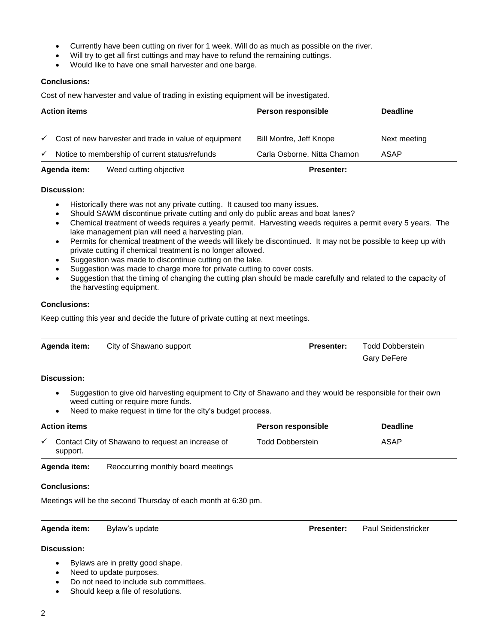- Currently have been cutting on river for 1 week. Will do as much as possible on the river.
- Will try to get all first cuttings and may have to refund the remaining cuttings.
- Would like to have one small harvester and one barge.

#### **Conclusions:**

Cost of new harvester and value of trading in existing equipment will be investigated.

| <b>Action items</b> |                                                       | Person responsible           | <b>Deadline</b> |
|---------------------|-------------------------------------------------------|------------------------------|-----------------|
|                     |                                                       |                              |                 |
| $\checkmark$        | Cost of new harvester and trade in value of equipment | Bill Monfre, Jeff Knope      | Next meeting    |
| $\checkmark$        | Notice to membership of current status/refunds        | Carla Osborne, Nitta Charnon | ASAP            |
|                     | Agenda item:<br>Weed cutting objective                | <b>Presenter:</b>            |                 |

#### **Discussion:**

- Historically there was not any private cutting. It caused too many issues.
- Should SAWM discontinue private cutting and only do public areas and boat lanes?
- Chemical treatment of weeds requires a yearly permit. Harvesting weeds requires a permit every 5 years. The lake management plan will need a harvesting plan.
- Permits for chemical treatment of the weeds will likely be discontinued. It may not be possible to keep up with private cutting if chemical treatment is no longer allowed.
- Suggestion was made to discontinue cutting on the lake.
- Suggestion was made to charge more for private cutting to cover costs.
- Suggestion that the timing of changing the cutting plan should be made carefully and related to the capacity of the harvesting equipment.

#### **Conclusions:**

Keep cutting this year and decide the future of private cutting at next meetings.

| Agenda item:             | City of Shawano support                                                                                                                                                                                          | <b>Presenter:</b>       | <b>Todd Dobberstein</b> |  |  |  |  |
|--------------------------|------------------------------------------------------------------------------------------------------------------------------------------------------------------------------------------------------------------|-------------------------|-------------------------|--|--|--|--|
|                          |                                                                                                                                                                                                                  |                         | Gary DeFere             |  |  |  |  |
| Discussion:              |                                                                                                                                                                                                                  |                         |                         |  |  |  |  |
| $\bullet$<br>$\bullet$   | Suggestion to give old harvesting equipment to City of Shawano and they would be responsible for their own<br>weed cutting or require more funds.<br>Need to make request in time for the city's budget process. |                         |                         |  |  |  |  |
| <b>Action items</b>      |                                                                                                                                                                                                                  | Person responsible      | <b>Deadline</b>         |  |  |  |  |
| $\checkmark$<br>support. | Contact City of Shawano to request an increase of                                                                                                                                                                | <b>Todd Dobberstein</b> | ASAP                    |  |  |  |  |
| .                        |                                                                                                                                                                                                                  |                         |                         |  |  |  |  |

**Agenda item:** Reoccurring monthly board meetings

#### **Conclusions:**

Meetings will be the second Thursday of each month at 6:30 pm.

#### **Agenda item:** Bylaw's update **Presenter:** Paul Seidenstricker

#### **Discussion:**

- Bylaws are in pretty good shape.
- Need to update purposes.
- Do not need to include sub committees.
- Should keep a file of resolutions.